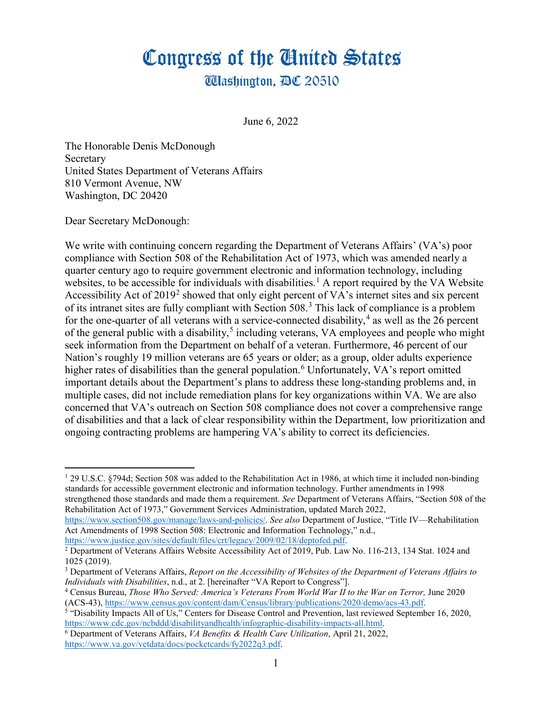## Congress of the United States

**Washington, AC 20510** 

June 6, 2022

The Honorable Denis McDonough Secretary United States Department of Veterans Affairs 810 Vermont Avenue, NW Washington, DC 20420

Dear Secretary McDonough:

 $\overline{a}$ 

We write with continuing concern regarding the Department of Veterans Affairs' (VA's) poor compliance with Section 508 of the Rehabilitation Act of 1973, which was amended nearly a quarter century ago to require government electronic and information technology, including websites, to be accessible for individuals with disabilities.<sup>[1](#page-0-0)</sup> A report required by the VA Website Accessibility Act of [2](#page-0-1)019<sup>2</sup> showed that only eight percent of VA's internet sites and six percent of its intranet sites are fully compliant with Section 508.<sup>[3](#page-0-2)</sup> This lack of compliance is a problem for the one-quarter of all veterans with a service-connected disability,<sup>[4](#page-0-3)</sup> as well as the 26 percent of the general public with a disability,<sup>[5](#page-0-4)</sup> including veterans, VA employees and people who might seek information from the Department on behalf of a veteran. Furthermore, 46 percent of our Nation's roughly 19 million veterans are 65 years or older; as a group, older adults experience higher rates of disabilities than the general population.<sup>[6](#page-0-5)</sup> Unfortunately, VA's report omitted important details about the Department's plans to address these long-standing problems and, in multiple cases, did not include remediation plans for key organizations within VA. We are also concerned that VA's outreach on Section 508 compliance does not cover a comprehensive range of disabilities and that a lack of clear responsibility within the Department, low prioritization and ongoing contracting problems are hampering VA's ability to correct its deficiencies.

<span id="page-0-0"></span> $129$  U.S.C. §794d; Section 508 was added to the Rehabilitation Act in 1986, at which time it included non-binding standards for accessible government electronic and information technology. Further amendments in 1998 strengthened those standards and made them a requirement. *See* Department of Veterans Affairs, "Section 508 of the Rehabilitation Act of 1973," Government Services Administration, updated March 2022,

[https://www.section508.gov/manage/laws-and-policies/.](https://www.section508.gov/manage/laws-and-policies/) *See also* Department of Justice, "Title IV—Rehabilitation Act Amendments of 1998 Section 508: Electronic and Information Technology," n.d.,

<span id="page-0-1"></span>[https://www.justice.gov/sites/default/files/crt/legacy/2009/02/18/deptofed.pdf.](https://www.justice.gov/sites/default/files/crt/legacy/2009/02/18/deptofed.pdf)<br><sup>2</sup> Department of Veterans Affairs Website Accessibility Act of 2019, Pub. Law No. 116-213, 134 Stat. 1024 and 1025 (2019).

<span id="page-0-2"></span><sup>3</sup> Department of Veterans Affairs, *Report on the Accessibility of Websites of the Department of Veterans Affairs to Individuals with Disabilities*, n.d., at 2. [hereinafter "VA Report to Congress"].

<span id="page-0-3"></span><sup>&</sup>lt;sup>4</sup> Census Bureau, *Those Who Served: America's Veterans From World War II to the War on Terror*, June 2020 (ACS-43), https://www.census.gov/content/dam/Census/library/publications/2020/demo/acs-43.pdf.

<span id="page-0-4"></span><sup>&</sup>lt;sup>5</sup> "Disability Impacts All of Us," Centers for Disease Control and Prevention, last reviewed September 16, 2020,  $\frac{https://www.cdc.gov/ncbdd/disability and health/infographic-disability-impacts-all.html.}$ 

<span id="page-0-5"></span><sup>&</sup>lt;sup>6</sup> Department of Veterans Affairs, *VA Benefits & Health Care Utilization*, April 21, 2022, [https://www.va.gov/vetdata/docs/pocketcards/fy2022q3.pdf.](https://www.va.gov/vetdata/docs/pocketcards/fy2022q3.pdf)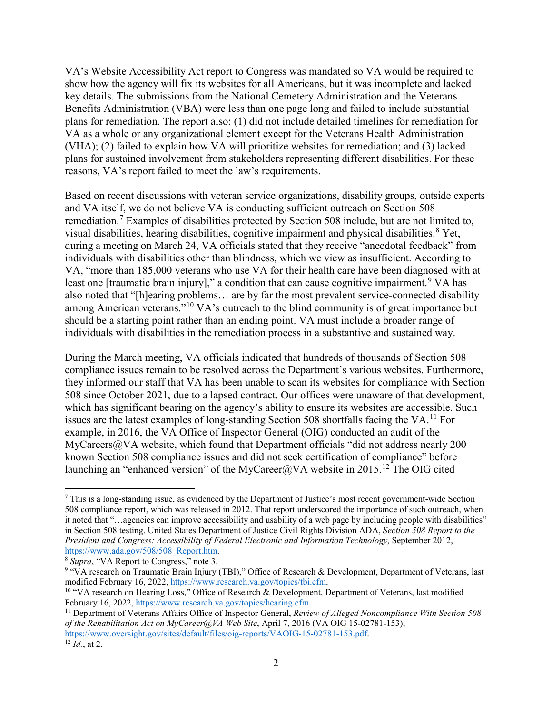VA's Website Accessibility Act report to Congress was mandated so VA would be required to show how the agency will fix its websites for all Americans, but it was incomplete and lacked key details. The submissions from the National Cemetery Administration and the Veterans Benefits Administration (VBA) were less than one page long and failed to include substantial plans for remediation. The report also: (1) did not include detailed timelines for remediation for VA as a whole or any organizational element except for the Veterans Health Administration (VHA); (2) failed to explain how VA will prioritize websites for remediation; and (3) lacked plans for sustained involvement from stakeholders representing different disabilities. For these reasons, VA's report failed to meet the law's requirements.

Based on recent discussions with veteran service organizations, disability groups, outside experts and VA itself, we do not believe VA is conducting sufficient outreach on Section 508 remediation.<sup>[7](#page-1-0)</sup> Examples of disabilities protected by Section 508 include, but are not limited to, visual disabilities, hearing disabilities, cognitive impairment and physical disabilities.<sup>[8](#page-1-1)</sup> Yet, during a meeting on March 24, VA officials stated that they receive "anecdotal feedback" from individuals with disabilities other than blindness, which we view as insufficient. According to VA, "more than 185,000 veterans who use VA for their health care have been diagnosed with at least one [traumatic brain injury]," a condition that can cause cognitive impairment.<sup>[9](#page-1-2)</sup> VA has also noted that "[h]earing problems… are by far the most prevalent service-connected disability among American veterans."[10](#page-1-3) VA's outreach to the blind community is of great importance but should be a starting point rather than an ending point. VA must include a broader range of individuals with disabilities in the remediation process in a substantive and sustained way.

During the March meeting, VA officials indicated that hundreds of thousands of Section 508 compliance issues remain to be resolved across the Department's various websites. Furthermore, they informed our staff that VA has been unable to scan its websites for compliance with Section 508 since October 2021, due to a lapsed contract. Our offices were unaware of that development, which has significant bearing on the agency's ability to ensure its websites are accessible. Such issues are the latest examples of long-standing Section 508 shortfalls facing the VA.<sup>[11](#page-1-4)</sup> For example, in 2016, the VA Office of Inspector General (OIG) conducted an audit of the MyCareers@VA website, which found that Department officials "did not address nearly 200 known Section 508 compliance issues and did not seek certification of compliance" before launching an "enhanced version" of the MyCareer@VA website in 2015.<sup>[12](#page-1-5)</sup> The OIG cited

<span id="page-1-0"></span> $\overline{a}$  $^7$  This is a long-standing issue, as evidenced by the Department of Justice's most recent government-wide Section 508 compliance report, which was released in 2012. That report underscored the importance of such outreach, when it noted that "…agencies can improve accessibility and usability of a web page by including people with disabilities" in Section 508 testing. United States Department of Justice Civil Rights Division ADA, *Section 508 Report to the President and Congress: Accessibility of Federal Electronic and Information Technology, September 2012, https://www.ada.gov/508/508 Report.htm.* 

<span id="page-1-2"></span><span id="page-1-1"></span><sup>&</sup>lt;sup>8</sup> *Supra*, "VA Report to Congress," note 3. 9 "VA research on Traumatic Brain Injury (TBI)," Office of Research & Development, Department of Veterans, last modified February 16, 2022, https://www.research.va.gov/topics/t

<span id="page-1-3"></span><sup>&</sup>lt;sup>10</sup> "VA research on Hearing Loss," Office of Research & Development, Department of Veterans, last modified February 16, 2022, https://www.research.va.gov/topics/hearing.cfm.

<span id="page-1-4"></span><sup>&</sup>lt;sup>11</sup> Department of Veterans Affairs Office of Inspector General, *Review of Alleged Noncompliance With Section 508 of the Rehabilitation Act on MyCareer@VA Web Site*, April 7, 2016 (VA OIG 15-02781-153), [https://www.oversight.gov/sites/default/files/oig-reports/VAOIG-15-02781-153.pdf.](https://www.oversight.gov/sites/default/files/oig-reports/VAOIG-15-02781-153.pdf) 12 *Id.*, at 2.

<span id="page-1-5"></span>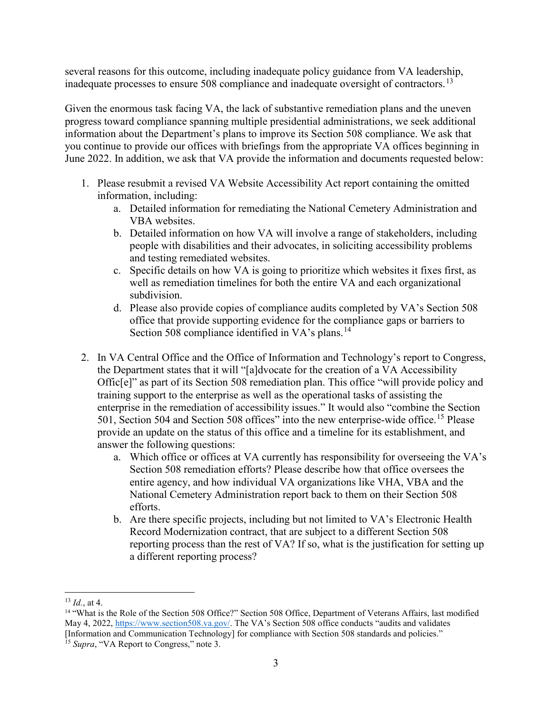several reasons for this outcome, including inadequate policy guidance from VA leadership, inadequate processes to ensure  $508$  compliance and inadequate oversight of contractors.<sup>[13](#page-2-0)</sup>

Given the enormous task facing VA, the lack of substantive remediation plans and the uneven progress toward compliance spanning multiple presidential administrations, we seek additional information about the Department's plans to improve its Section 508 compliance. We ask that you continue to provide our offices with briefings from the appropriate VA offices beginning in June 2022. In addition, we ask that VA provide the information and documents requested below:

- 1. Please resubmit a revised VA Website Accessibility Act report containing the omitted information, including:
	- a. Detailed information for remediating the National Cemetery Administration and VBA websites.
	- b. Detailed information on how VA will involve a range of stakeholders, including people with disabilities and their advocates, in soliciting accessibility problems and testing remediated websites.
	- c. Specific details on how VA is going to prioritize which websites it fixes first, as well as remediation timelines for both the entire VA and each organizational subdivision.
	- d. Please also provide copies of compliance audits completed by VA's Section 508 office that provide supporting evidence for the compliance gaps or barriers to Section 508 compliance identified in VA's plans.<sup>[14](#page-2-1)</sup>
- 2. In VA Central Office and the Office of Information and Technology's report to Congress, the Department states that it will "[a]dvocate for the creation of a VA Accessibility Offic[e]" as part of its Section 508 remediation plan. This office "will provide policy and training support to the enterprise as well as the operational tasks of assisting the enterprise in the remediation of accessibility issues." It would also "combine the Section 501, Section 504 and Section 508 offices" into the new enterprise-wide office.<sup>[15](#page-2-2)</sup> Please provide an update on the status of this office and a timeline for its establishment, and answer the following questions:
	- a. Which office or offices at VA currently has responsibility for overseeing the VA's Section 508 remediation efforts? Please describe how that office oversees the entire agency, and how individual VA organizations like VHA, VBA and the National Cemetery Administration report back to them on their Section 508 efforts.
	- b. Are there specific projects, including but not limited to VA's Electronic Health Record Modernization contract, that are subject to a different Section 508 reporting process than the rest of VA? If so, what is the justification for setting up a different reporting process?

 $\overline{a}$  $^{13}$  *Id.*, at 4.

<span id="page-2-1"></span><span id="page-2-0"></span><sup>14</sup> "What is the Role of the Section 508 Office?" Section 508 Office, Department of Veterans Affairs, last modified May 4, 2022, [https://www.section508.va.gov/.](https://www.section508.va.gov/) The VA's Section 508 office conducts "audits and validates [Information and Communication Technology] for compliance with Section 508 standards and policies."

<span id="page-2-2"></span><sup>&</sup>lt;sup>15</sup> *Supra*, "VA Report to Congress," note 3.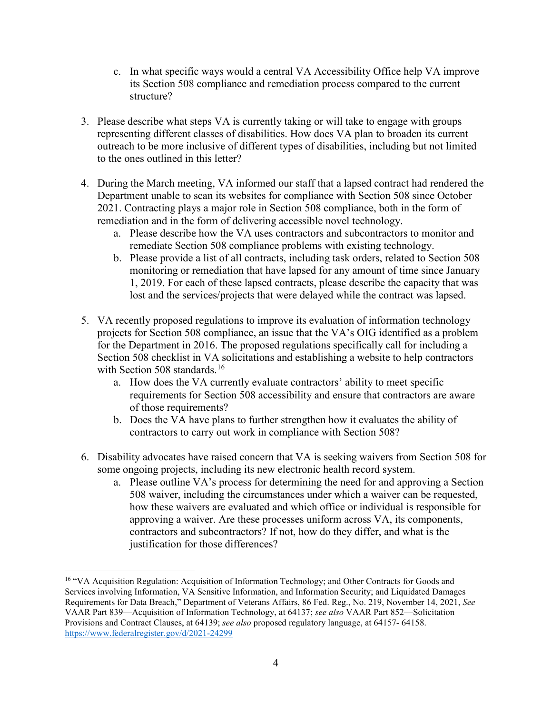- c. In what specific ways would a central VA Accessibility Office help VA improve its Section 508 compliance and remediation process compared to the current structure?
- 3. Please describe what steps VA is currently taking or will take to engage with groups representing different classes of disabilities. How does VA plan to broaden its current outreach to be more inclusive of different types of disabilities, including but not limited to the ones outlined in this letter?
- 4. During the March meeting, VA informed our staff that a lapsed contract had rendered the Department unable to scan its websites for compliance with Section 508 since October 2021. Contracting plays a major role in Section 508 compliance, both in the form of remediation and in the form of delivering accessible novel technology.
	- a. Please describe how the VA uses contractors and subcontractors to monitor and remediate Section 508 compliance problems with existing technology.
	- b. Please provide a list of all contracts, including task orders, related to Section 508 monitoring or remediation that have lapsed for any amount of time since January 1, 2019. For each of these lapsed contracts, please describe the capacity that was lost and the services/projects that were delayed while the contract was lapsed.
- 5. VA recently proposed regulations to improve its evaluation of information technology projects for Section 508 compliance, an issue that the VA's OIG identified as a problem for the Department in 2016. The proposed regulations specifically call for including a Section 508 checklist in VA solicitations and establishing a website to help contractors with Section 508 standards.<sup>[16](#page-3-0)</sup>
	- a. How does the VA currently evaluate contractors' ability to meet specific requirements for Section 508 accessibility and ensure that contractors are aware of those requirements?
	- b. Does the VA have plans to further strengthen how it evaluates the ability of contractors to carry out work in compliance with Section 508?
- 6. Disability advocates have raised concern that VA is seeking waivers from Section 508 for some ongoing projects, including its new electronic health record system.
	- a. Please outline VA's process for determining the need for and approving a Section 508 waiver, including the circumstances under which a waiver can be requested, how these waivers are evaluated and which office or individual is responsible for approving a waiver. Are these processes uniform across VA, its components, contractors and subcontractors? If not, how do they differ, and what is the justification for those differences?

 $\overline{a}$ 

<span id="page-3-0"></span><sup>&</sup>lt;sup>16</sup> "VA Acquisition Regulation: Acquisition of Information Technology; and Other Contracts for Goods and Services involving Information, VA Sensitive Information, and Information Security; and Liquidated Damages Requirements for Data Breach," Department of Veterans Affairs, 86 Fed. Reg., No. 219, November 14, 2021, *See*  VAAR Part 839—Acquisition of Information Technology, at 64137; *see also* VAAR Part 852—Solicitation Provisions and Contract Clauses, at 64139; *see also* proposed regulatory language, at 64157- 64158. <https://www.federalregister.gov/d/2021-24299>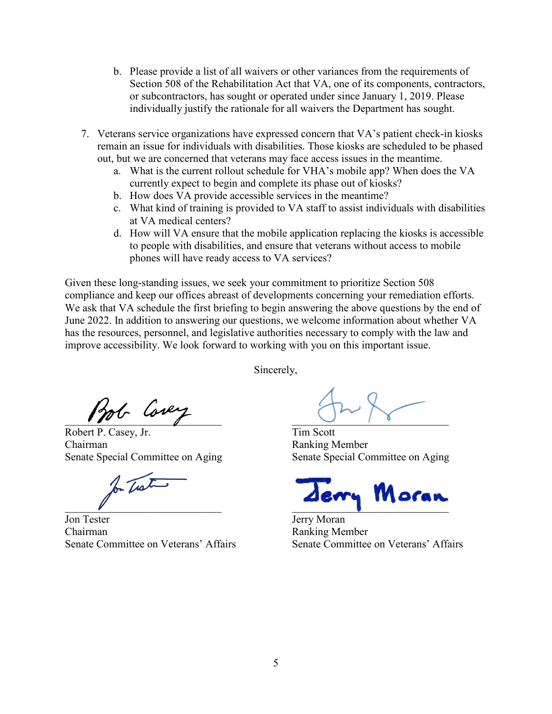- b. Please provide a list of all waivers or other variances from the requirements of Section 508 of the Rehabilitation Act that VA, one of its components, contractors, or subcontractors, has sought or operated under since January 1, 2019. Please individually justify the rationale for all waivers the Department has sought.
- 7. Veterans service organizations have expressed concern that VA's patient check-in kiosks remain an issue for individuals with disabilities. Those kiosks are scheduled to be phased out, but we are concerned that veterans may face access issues in the meantime.
	- a. What is the current rollout schedule for VHA's mobile app? When does the VA currently expect to begin and complete its phase out of kiosks?
	- b. How does VA provide accessible services in the meantime?
	- c. What kind of training is provided to VA staff to assist individuals with disabilities at VA medical centers?
	- d. How will VA ensure that the mobile application replacing the kiosks is accessible to people with disabilities, and ensure that veterans without access to mobile phones will have ready access to VA services?

Given these long-standing issues, we seek your commitment to prioritize Section 508 compliance and keep our offices abreast of developments concerning your remediation efforts. We ask that VA schedule the first briefing to begin answering the above questions by the end of June 2022. In addition to answering our questions, we welcome information about whether VA has the resources, personnel, and legislative authorities necessary to comply with the law and improve accessibility. We look forward to working with you on this important issue.

Sincerely,

Bob Covey

Robert P. Casey, Jr. Tim Scott Chairman Ranking Member

for That

Jon Tester **Jerry Moran** Chairman Ranking Member Senate Committee on Veterans' Affairs Senate Committee on Veterans' Affairs

Senate Special Committee on Aging Senate Special Committee on Aging

 $\mathcal{L}=\mathcal{L}=\mathcal{L}=\mathcal{L}=\mathcal{L}=\mathcal{L}=\mathcal{L}=\mathcal{L}=\mathcal{L}=\mathcal{L}=\mathcal{L}=\mathcal{L}=\mathcal{L}=\mathcal{L}=\mathcal{L}=\mathcal{L}=\mathcal{L}=\mathcal{L}=\mathcal{L}=\mathcal{L}=\mathcal{L}=\mathcal{L}=\mathcal{L}=\mathcal{L}=\mathcal{L}=\mathcal{L}=\mathcal{L}=\mathcal{L}=\mathcal{L}=\mathcal{L}=\mathcal{L}=\mathcal{L}=\mathcal{L}=\mathcal{L}=\mathcal{L}=\mathcal{L}=\mathcal{$